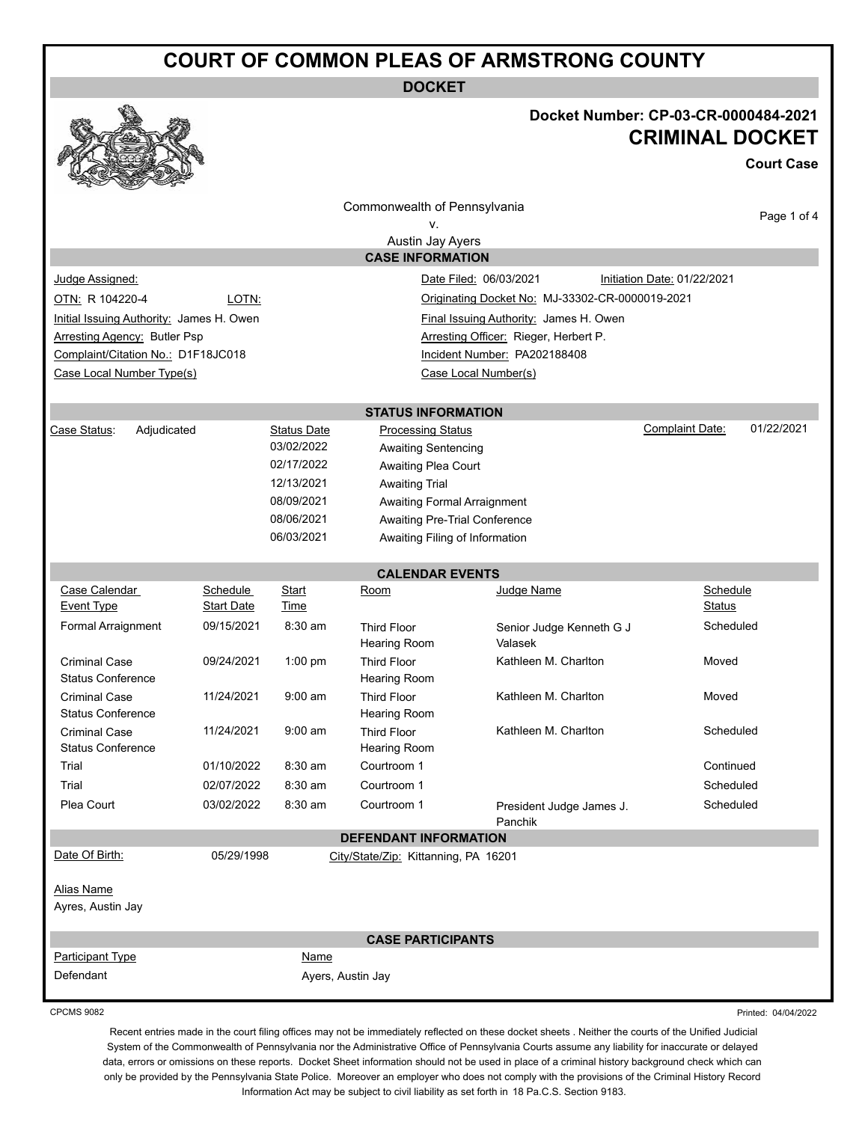# **COURT OF COMMON PLEAS OF ARMSTRONG COUNTY**

**DOCKET**



## **Docket Number: CP-03-CR-0000484-2021 CRIMINAL DOCKET**

**Court Case**

|                                                  |                                                          |                    | Commonwealth of Pennsylvania              |                                        |                             |             |
|--------------------------------------------------|----------------------------------------------------------|--------------------|-------------------------------------------|----------------------------------------|-----------------------------|-------------|
|                                                  |                                                          |                    | ۷.                                        |                                        |                             | Page 1 of 4 |
|                                                  |                                                          |                    | Austin Jay Ayers                          |                                        |                             |             |
|                                                  |                                                          |                    | <b>CASE INFORMATION</b>                   |                                        |                             |             |
| Judge Assigned:                                  |                                                          |                    |                                           | Date Filed: 06/03/2021                 | Initiation Date: 01/22/2021 |             |
| OTN: R 104220-4                                  | LOTN:<br>Originating Docket No: MJ-33302-CR-0000019-2021 |                    |                                           |                                        |                             |             |
| Initial Issuing Authority: James H. Owen         |                                                          |                    |                                           | Final Issuing Authority: James H. Owen |                             |             |
| <b>Arresting Agency: Butler Psp</b>              |                                                          |                    |                                           |                                        |                             |             |
| Complaint/Citation No.: D1F18JC018               |                                                          |                    | Incident Number: PA202188408              |                                        |                             |             |
| Case Local Number Type(s)                        |                                                          |                    |                                           | Case Local Number(s)                   |                             |             |
|                                                  |                                                          |                    | <b>STATUS INFORMATION</b>                 |                                        |                             |             |
| Adjudicated<br>Case Status:                      |                                                          | <b>Status Date</b> | <b>Processing Status</b>                  |                                        | Complaint Date:             | 01/22/2021  |
|                                                  |                                                          | 03/02/2022         | <b>Awaiting Sentencing</b>                |                                        |                             |             |
|                                                  |                                                          | 02/17/2022         | Awaiting Plea Court                       |                                        |                             |             |
|                                                  |                                                          | 12/13/2021         | <b>Awaiting Trial</b>                     |                                        |                             |             |
|                                                  |                                                          | 08/09/2021         | Awaiting Formal Arraignment               |                                        |                             |             |
| 08/06/2021                                       |                                                          |                    | Awaiting Pre-Trial Conference             |                                        |                             |             |
|                                                  |                                                          | 06/03/2021         | Awaiting Filing of Information            |                                        |                             |             |
|                                                  |                                                          |                    | <b>CALENDAR EVENTS</b>                    |                                        |                             |             |
| Case Calendar                                    | Schedule                                                 | Start              | Room                                      | Judge Name                             | Schedule                    |             |
| <b>Event Type</b>                                | <b>Start Date</b>                                        | Time               |                                           |                                        | Status                      |             |
| Formal Arraignment                               | 09/15/2021                                               | 8:30 am            | <b>Third Floor</b><br><b>Hearing Room</b> | Senior Judge Kenneth G J<br>Valasek    | Scheduled                   |             |
| <b>Criminal Case</b><br><b>Status Conference</b> | 09/24/2021                                               | 1:00 pm            | <b>Third Floor</b><br><b>Hearing Room</b> | Kathleen M. Charlton                   | Moved                       |             |
| <b>Criminal Case</b><br><b>Status Conference</b> | 11/24/2021                                               | $9:00$ am          | <b>Third Floor</b><br><b>Hearing Room</b> | Kathleen M. Charlton                   | Moved                       |             |
| <b>Criminal Case</b><br><b>Status Conference</b> | 11/24/2021                                               | $9:00$ am          | <b>Third Floor</b><br>Hearing Room        | Kathleen M. Charlton                   | Scheduled                   |             |
| Trial                                            | 01/10/2022                                               | 8:30 am            | Courtroom 1                               |                                        | Continued                   |             |
| Trial                                            | 02/07/2022                                               | 8:30 am            | Courtroom 1                               |                                        | Scheduled                   |             |
| Plea Court                                       | 03/02/2022                                               | 8:30 am            | Courtroom 1                               | President Judge James J.<br>Panchik    | Scheduled                   |             |
|                                                  |                                                          |                    | <b>DEFENDANT INFORMATION</b>              |                                        |                             |             |
| Date Of Birth:                                   | 05/29/1998                                               |                    | City/State/Zip: Kittanning, PA 16201      |                                        |                             |             |
| <b>Alias Name</b><br>Ayres, Austin Jay           |                                                          |                    |                                           |                                        |                             |             |
|                                                  |                                                          |                    | <b>CASE PARTICIPANTS</b>                  |                                        |                             |             |
| <b>Participant Type</b>                          |                                                          | Name               |                                           |                                        |                             |             |
| Defendant                                        |                                                          |                    | Ayers, Austin Jay                         |                                        |                             |             |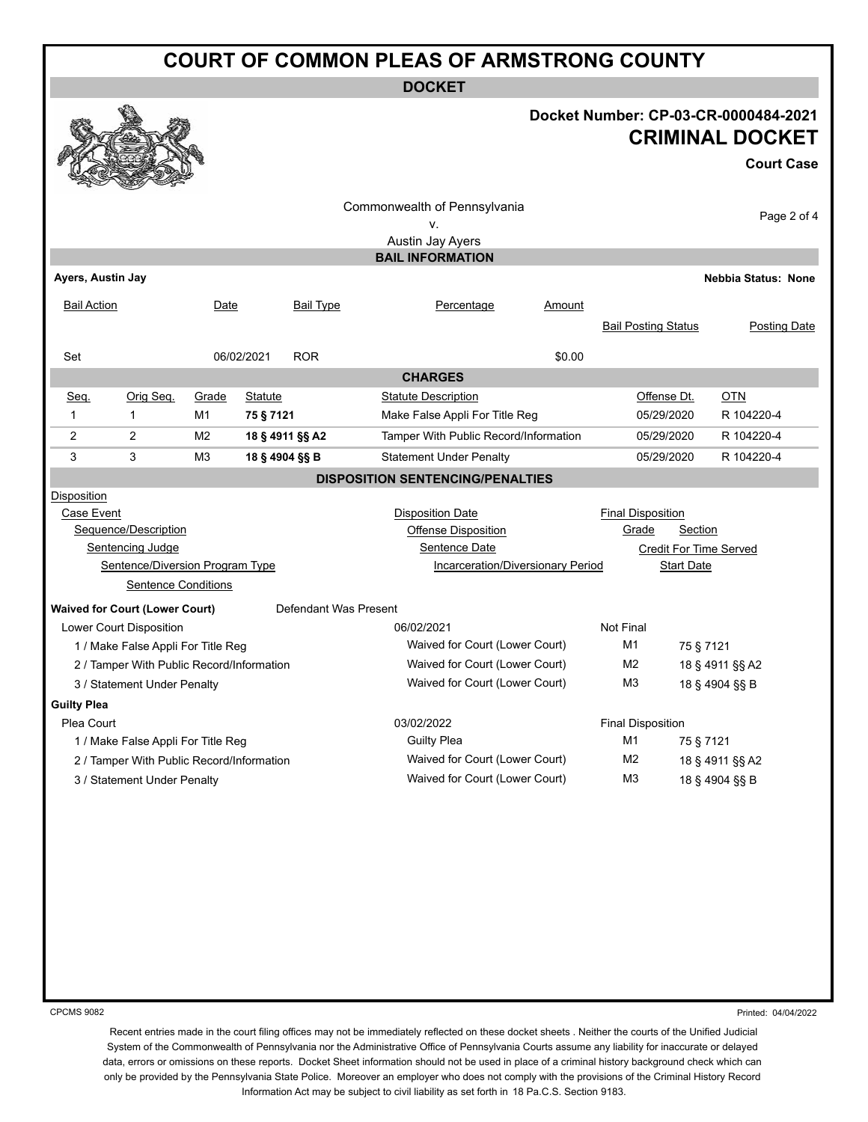# **COURT OF COMMON PLEAS OF ARMSTRONG COUNTY**

**DOCKET**

### **Docket Number: CP-03-CR-0000484-2021 CRIMINAL DOCKET**

#### **Court Case**

|                                           |                                       |                |                 |                                                                    | Commonwealth of Pennsylvania<br>v.<br>Austin Jay Ayers |                                  |                            |                 | Page 2 of 4                |
|-------------------------------------------|---------------------------------------|----------------|-----------------|--------------------------------------------------------------------|--------------------------------------------------------|----------------------------------|----------------------------|-----------------|----------------------------|
| Ayers, Austin Jay                         |                                       |                |                 |                                                                    | <b>BAIL INFORMATION</b>                                |                                  |                            |                 |                            |
|                                           |                                       |                |                 |                                                                    |                                                        |                                  |                            |                 | <b>Nebbia Status: None</b> |
| <b>Bail Action</b>                        |                                       | Date           |                 | <b>Bail Type</b>                                                   | Percentage                                             | Amount                           |                            |                 |                            |
|                                           |                                       |                |                 |                                                                    |                                                        |                                  | <b>Bail Posting Status</b> |                 | <b>Posting Date</b>        |
| Set                                       |                                       |                | 06/02/2021      | <b>ROR</b>                                                         |                                                        | \$0.00                           |                            |                 |                            |
| <b>CHARGES</b>                            |                                       |                |                 |                                                                    |                                                        |                                  |                            |                 |                            |
| Seq.                                      | Orig Seq.                             | Grade          | Statute         |                                                                    | <b>Statute Description</b>                             |                                  |                            | Offense Dt.     | OTN                        |
| 1                                         | $\mathbf{1}$                          | M1             | 75 § 7121       |                                                                    | Make False Appli For Title Reg                         |                                  |                            | 05/29/2020      | R 104220-4                 |
| $\overline{2}$                            | $\overline{2}$                        | M <sub>2</sub> | 18 § 4911 §§ A2 |                                                                    | Tamper With Public Record/Information                  |                                  |                            | 05/29/2020      | R 104220-4                 |
| 3                                         | 3                                     | M <sub>3</sub> | 18 § 4904 §§ B  |                                                                    | <b>Statement Under Penalty</b>                         |                                  |                            | 05/29/2020      | R 104220-4                 |
|                                           |                                       |                |                 |                                                                    | <b>DISPOSITION SENTENCING/PENALTIES</b>                |                                  |                            |                 |                            |
| Disposition                               |                                       |                |                 |                                                                    |                                                        |                                  |                            |                 |                            |
| Case Event                                |                                       |                |                 |                                                                    | <b>Disposition Date</b>                                |                                  | <b>Final Disposition</b>   |                 |                            |
|                                           | Sequence/Description                  |                |                 |                                                                    | <b>Offense Disposition</b>                             |                                  | Grade                      | Section         |                            |
| Sentencing Judge                          |                                       |                |                 |                                                                    | Sentence Date<br><b>Credit For Time Served</b>         |                                  |                            |                 |                            |
| Sentence/Diversion Program Type           |                                       |                |                 |                                                                    | Incarceration/Diversionary Period<br><b>Start Date</b> |                                  |                            |                 |                            |
|                                           | <b>Sentence Conditions</b>            |                |                 |                                                                    |                                                        |                                  |                            |                 |                            |
|                                           | <b>Waived for Court (Lower Court)</b> |                |                 | Defendant Was Present                                              |                                                        |                                  |                            |                 |                            |
|                                           | <b>Lower Court Disposition</b>        |                |                 |                                                                    | 06/02/2021                                             |                                  | Not Final                  |                 |                            |
|                                           | 1 / Make False Appli For Title Reg    |                |                 |                                                                    | Waived for Court (Lower Court)                         |                                  | M <sub>1</sub>             | 75 § 7121       |                            |
| 2 / Tamper With Public Record/Information |                                       |                |                 | Waived for Court (Lower Court)                                     |                                                        | M <sub>2</sub>                   |                            | 18 § 4911 §§ A2 |                            |
| 3 / Statement Under Penalty               |                                       |                |                 | Waived for Court (Lower Court)                                     |                                                        | M <sub>3</sub><br>18 § 4904 §§ B |                            |                 |                            |
| <b>Guilty Plea</b>                        |                                       |                |                 |                                                                    |                                                        |                                  |                            |                 |                            |
| Plea Court                                |                                       |                |                 |                                                                    | 03/02/2022                                             |                                  | <b>Final Disposition</b>   |                 |                            |
|                                           | 1 / Make False Appli For Title Reg    |                |                 |                                                                    | <b>Guilty Plea</b>                                     |                                  | M <sub>1</sub>             | 75 § 7121       |                            |
| 2 / Tamper With Public Record/Information |                                       |                |                 |                                                                    | Waived for Court (Lower Court)                         |                                  |                            | 18 § 4911 §§ A2 |                            |
| 3 / Statement Under Penalty               |                                       |                |                 | Waived for Court (Lower Court)<br>M <sub>3</sub><br>18 § 4904 §§ B |                                                        |                                  |                            |                 |                            |
|                                           |                                       |                |                 |                                                                    |                                                        |                                  |                            |                 |                            |

CPCMS 9082

Printed: 04/04/2022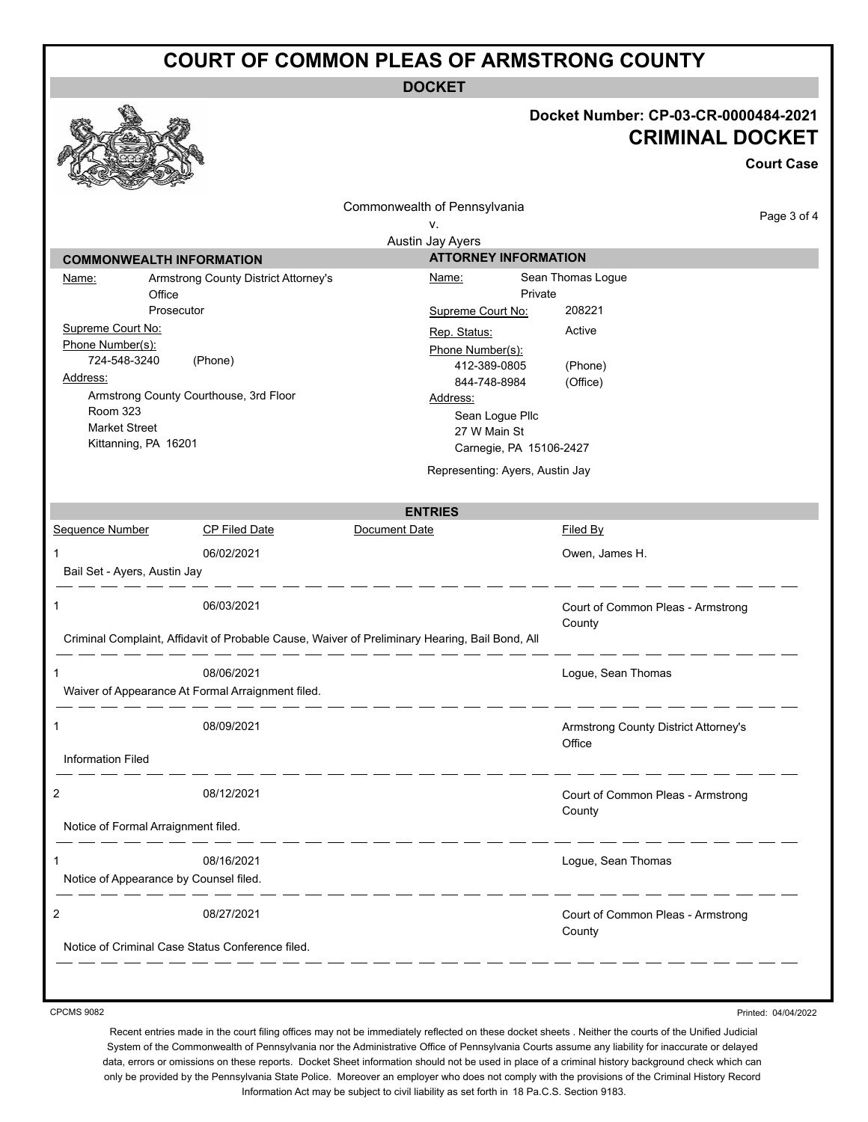### **COURT OF COMMON PLEAS OF ARMSTRONG COUNTY**

**DOCKET**

### **Docket Number: CP-03-CR-0000484-2021 CRIMINAL DOCKET**

**Court Case** Commonwealth of Pennsylvania Page 3 of 4 v. Austin Jay Ayers **COMMONWEALTH INFORMATION ATTORNEY INFORMATION** Name: Armstrong County District Attorney's Name: Sean Thomas Logue **Office** Private Prosecutor Supreme Court No: 208221 Supreme Court No: Rep. Status: Active Phone Number(s): Phone Number(s): 724-548-3240 (Phone) 412-389-0805 (Phone) Address: 844-748-8984 (Office) Armstrong County Courthouse, 3rd Floor Address: Room 323 Sean Logue Pllc Market Street 27 W Main St Kittanning, PA 16201 Carnegie, PA 15106-2427 Representing: Ayers, Austin Jay **ENTRIES** Sequence Number CP Filed Date Document Date Date Filed By 1 06/02/2021 Owen, James H. Bail Set - Ayers, Austin Jay 1 06/03/2021 Court of Common Pleas - Armstrong **County** Criminal Complaint, Affidavit of Probable Cause, Waiver of Preliminary Hearing, Bail Bond, All \_\_\_\_\_\_\_\_\_\_\_\_\_ 1 08/06/2021 Logue, Sean Thomas Waiver of Appearance At Formal Arraignment filed. \_ \_\_ \_\_ \_\_ \_\_ \_\_ \_\_ \_\_ \_\_ 1 08/09/2021 Armstrong County District Attorney's **Office** Information Filed \_\_\_\_\_\_ 2 08/12/2021 Court of Common Pleas - Armstrong **County** Notice of Formal Arraignment filed. -----------1 08/16/2021 Logue, Sean Thomas Notice of Appearance by Counsel filed.  $\frac{1}{2} \left( \frac{1}{2} \right) \left( \frac{1}{2} \right) \left( \frac{1}{2} \right) \left( \frac{1}{2} \right) \left( \frac{1}{2} \right) \left( \frac{1}{2} \right) \left( \frac{1}{2} \right) \left( \frac{1}{2} \right) \left( \frac{1}{2} \right) \left( \frac{1}{2} \right) \left( \frac{1}{2} \right) \left( \frac{1}{2} \right) \left( \frac{1}{2} \right) \left( \frac{1}{2} \right) \left( \frac{1}{2} \right) \left( \frac{1}{2} \right) \left( \frac$ 2 08/27/2021 Court of Common Pleas - Armstrong **County** Notice of Criminal Case Status Conference filed.

CPCMS 9082

Printed: 04/04/2022